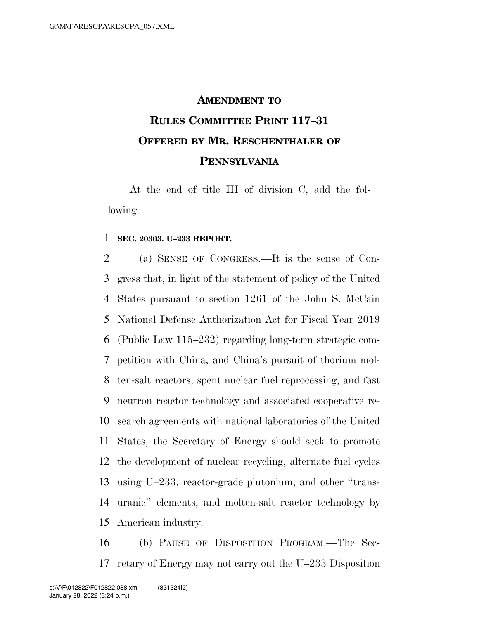## **AMENDMENT TO RULES COMMITTEE PRINT 117–31 OFFERED BY MR. RESCHENTHALER OF PENNSYLVANIA**

At the end of title III of division C, add the following:

## **SEC. 20303. U–233 REPORT.**

 (a) SENSE OF CONGRESS.—It is the sense of Con- gress that, in light of the statement of policy of the United States pursuant to section 1261 of the John S. McCain National Defense Authorization Act for Fiscal Year 2019 (Public Law 115–232) regarding long-term strategic com- petition with China, and China's pursuit of thorium mol- ten-salt reactors, spent nuclear fuel reprocessing, and fast neutron reactor technology and associated cooperative re- search agreements with national laboratories of the United States, the Secretary of Energy should seek to promote the development of nuclear recycling, alternate fuel cycles using U–233, reactor-grade plutonium, and other ''trans- uranic'' elements, and molten-salt reactor technology by American industry.

 (b) PAUSE OF DISPOSITION PROGRAM.—The Sec-retary of Energy may not carry out the U–233 Disposition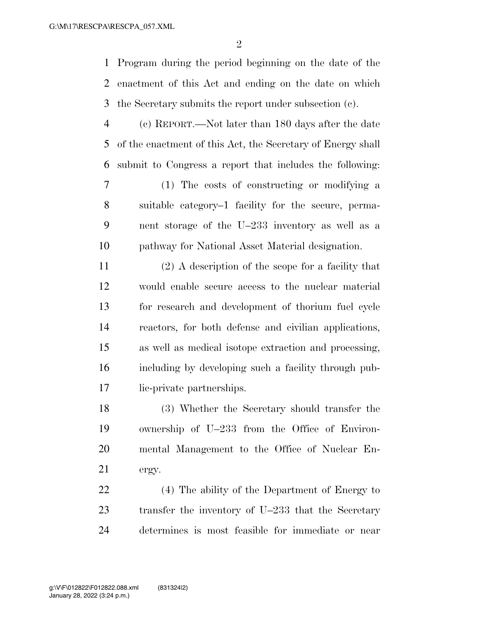Program during the period beginning on the date of the enactment of this Act and ending on the date on which the Secretary submits the report under subsection (c).

 (c) REPORT.—Not later than 180 days after the date of the enactment of this Act, the Secretary of Energy shall submit to Congress a report that includes the following:

 (1) The costs of constructing or modifying a suitable category–1 facility for the secure, perma- nent storage of the U–233 inventory as well as a pathway for National Asset Material designation.

 (2) A description of the scope for a facility that would enable secure access to the nuclear material for research and development of thorium fuel cycle reactors, for both defense and civilian applications, as well as medical isotope extraction and processing, including by developing such a facility through pub-lic-private partnerships.

 (3) Whether the Secretary should transfer the ownership of U–233 from the Office of Environ- mental Management to the Office of Nuclear En-ergy.

 (4) The ability of the Department of Energy to transfer the inventory of U–233 that the Secretary determines is most feasible for immediate or near